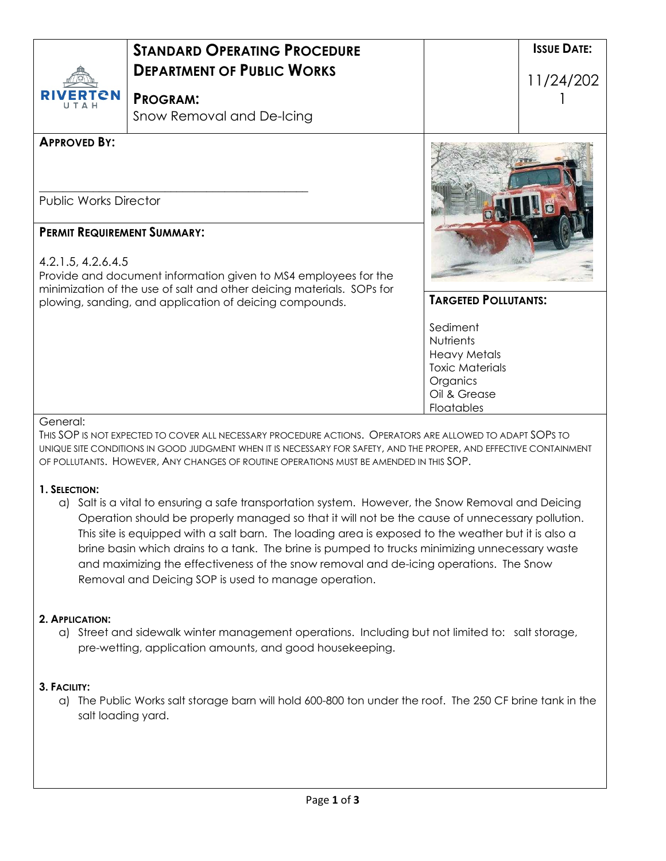| ERTCN                                               | <b>STANDARD OPERATING PROCEDURE</b><br><b>DEPARTMENT OF PUBLIC WORKS</b><br><b>PROGRAM:</b><br>Snow Removal and De-Icing         |                                               | <b>ISSUE DATE:</b><br>11/24/202 |
|-----------------------------------------------------|----------------------------------------------------------------------------------------------------------------------------------|-----------------------------------------------|---------------------------------|
| <b>APPROVED BY:</b><br><b>Public Works Director</b> |                                                                                                                                  |                                               |                                 |
|                                                     |                                                                                                                                  |                                               |                                 |
| <b>PERMIT REQUIREMENT SUMMARY:</b>                  |                                                                                                                                  |                                               |                                 |
| 4.2.1.5, 4.2.6.4.5                                  | Provide and document information given to MS4 employees for the                                                                  |                                               |                                 |
|                                                     | minimization of the use of salt and other deicing materials. SOPs for<br>plowing, sanding, and application of deicing compounds. | <b>TARGETED POLLUTANTS:</b>                   |                                 |
|                                                     |                                                                                                                                  | Sediment                                      |                                 |
|                                                     |                                                                                                                                  | <b>Nutrients</b>                              |                                 |
|                                                     |                                                                                                                                  | <b>Heavy Metals</b><br><b>Toxic Materials</b> |                                 |
|                                                     |                                                                                                                                  | Organics                                      |                                 |
|                                                     |                                                                                                                                  |                                               |                                 |
|                                                     |                                                                                                                                  | Oil & Grease                                  |                                 |

#### **1. SELECTION:**

a) Salt is a vital to ensuring a safe transportation system. However, the Snow Removal and Deicing Operation should be properly managed so that it will not be the cause of unnecessary pollution. This site is equipped with a salt barn. The loading area is exposed to the weather but it is also a brine basin which drains to a tank. The brine is pumped to trucks minimizing unnecessary waste and maximizing the effectiveness of the snow removal and de-icing operations. The Snow Removal and Deicing SOP is used to manage operation.

OF POLLUTANTS. HOWEVER, ANY CHANGES OF ROUTINE OPERATIONS MUST BE AMENDED IN THIS SOP.

# **2. APPLICATION:**

a) Street and sidewalk winter management operations. Including but not limited to: salt storage, pre-wetting, application amounts, and good housekeeping.

#### **3. FACILITY:**

a) The Public Works salt storage barn will hold 600-800 ton under the roof. The 250 CF brine tank in the salt loading yard.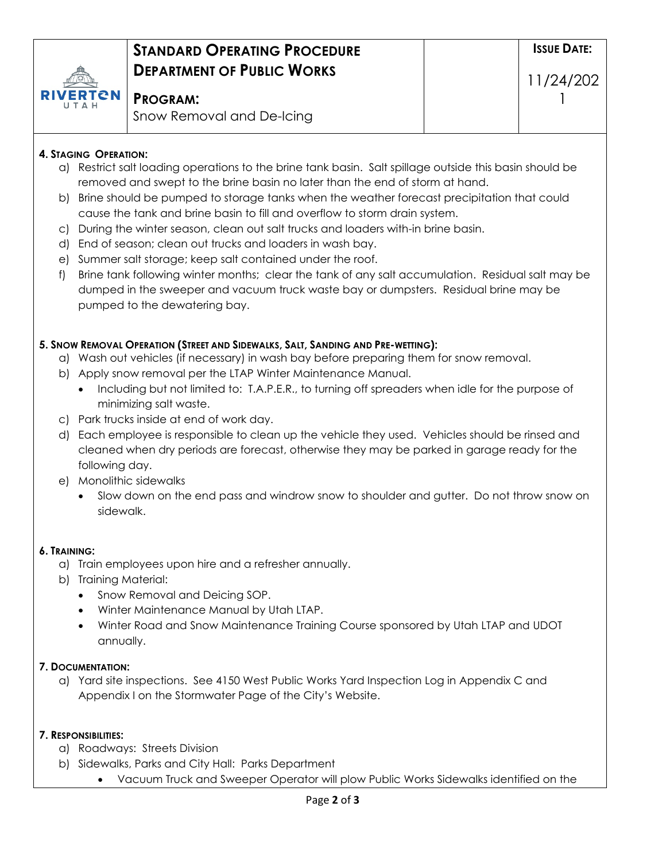

# **STANDARD OPERATING PROCEDURE DEPARTMENT OF PUBLIC WORKS**

**PROGRAM:**

# **4. STAGING OPERATION:**

- a) Restrict salt loading operations to the brine tank basin. Salt spillage outside this basin should be removed and swept to the brine basin no later than the end of storm at hand.
- b) Brine should be pumped to storage tanks when the weather forecast precipitation that could cause the tank and brine basin to fill and overflow to storm drain system.
- c) During the winter season, clean out salt trucks and loaders with-in brine basin.
- d) End of season; clean out trucks and loaders in wash bay.
- e) Summer salt storage; keep salt contained under the roof.
- f) Brine tank following winter months; clear the tank of any salt accumulation. Residual salt may be dumped in the sweeper and vacuum truck waste bay or dumpsters. Residual brine may be pumped to the dewatering bay.

# **5. SNOW REMOVAL OPERATION (STREET AND SIDEWALKS, SALT, SANDING AND PRE-WETTING):**

- a) Wash out vehicles (if necessary) in wash bay before preparing them for snow removal.
- b) Apply snow removal per the LTAP Winter Maintenance Manual.
	- Including but not limited to: T.A.P.E.R., to turning off spreaders when idle for the purpose of minimizing salt waste.
- c) Park trucks inside at end of work day.
- d) Each employee is responsible to clean up the vehicle they used. Vehicles should be rinsed and cleaned when dry periods are forecast, otherwise they may be parked in garage ready for the following day.
- e) Monolithic sidewalks
	- Slow down on the end pass and windrow snow to shoulder and gutter. Do not throw snow on sidewalk.

# **6. TRAINING:**

- a) Train employees upon hire and a refresher annually.
- b) Training Material:
	- Snow Removal and Deicing SOP.
	- Winter Maintenance Manual by Utah LTAP.
	- Winter Road and Snow Maintenance Training Course sponsored by Utah LTAP and UDOT annually.

# **7. DOCUMENTATION:**

a) Yard site inspections. See 4150 West Public Works Yard Inspection Log in Appendix C and Appendix I on the Stormwater Page of the City's Website.

# **7. RESPONSIBILITIES:**

- a) Roadways: Streets Division
- b) Sidewalks, Parks and City Hall: Parks Department
	- Vacuum Truck and Sweeper Operator will plow Public Works Sidewalks identified on the